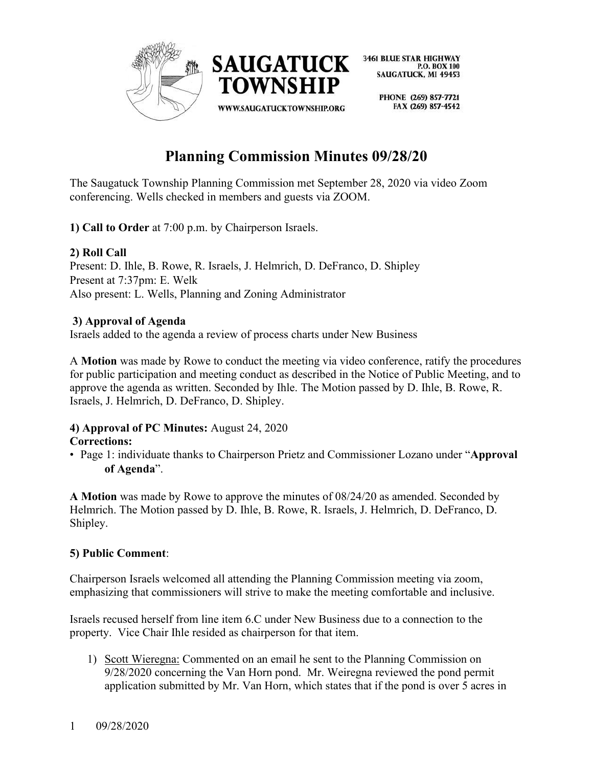

> PHONE (269) 857-7721 FAX (269) 857-4542

# **Planning Commission Minutes 09/28/20**

The Saugatuck Township Planning Commission met September 28, 2020 via video Zoom conferencing. Wells checked in members and guests via ZOOM.

**1) Call to Order** at 7:00 p.m. by Chairperson Israels.

## **2) Roll Call**

Present: D. Ihle, B. Rowe, R. Israels, J. Helmrich, D. DeFranco, D. Shipley Present at 7:37pm: E. Welk Also present: L. Wells, Planning and Zoning Administrator

## **3) Approval of Agenda**

Israels added to the agenda a review of process charts under New Business

A **Motion** was made by Rowe to conduct the meeting via video conference, ratify the procedures for public participation and meeting conduct as described in the Notice of Public Meeting, and to approve the agenda as written. Seconded by Ihle. The Motion passed by D. Ihle, B. Rowe, R. Israels, J. Helmrich, D. DeFranco, D. Shipley.

#### **4) Approval of PC Minutes:** August 24, 2020 **Corrections:**

• Page 1: individuate thanks to Chairperson Prietz and Commissioner Lozano under "**Approval of Agenda**".

**A Motion** was made by Rowe to approve the minutes of 08/24/20 as amended. Seconded by Helmrich. The Motion passed by D. Ihle, B. Rowe, R. Israels, J. Helmrich, D. DeFranco, D. Shipley.

## **5) Public Comment**:

Chairperson Israels welcomed all attending the Planning Commission meeting via zoom, emphasizing that commissioners will strive to make the meeting comfortable and inclusive.

Israels recused herself from line item 6.C under New Business due to a connection to the property. Vice Chair Ihle resided as chairperson for that item.

1) Scott Wieregna: Commented on an email he sent to the Planning Commission on 9/28/2020 concerning the Van Horn pond. Mr. Weiregna reviewed the pond permit application submitted by Mr. Van Horn, which states that if the pond is over 5 acres in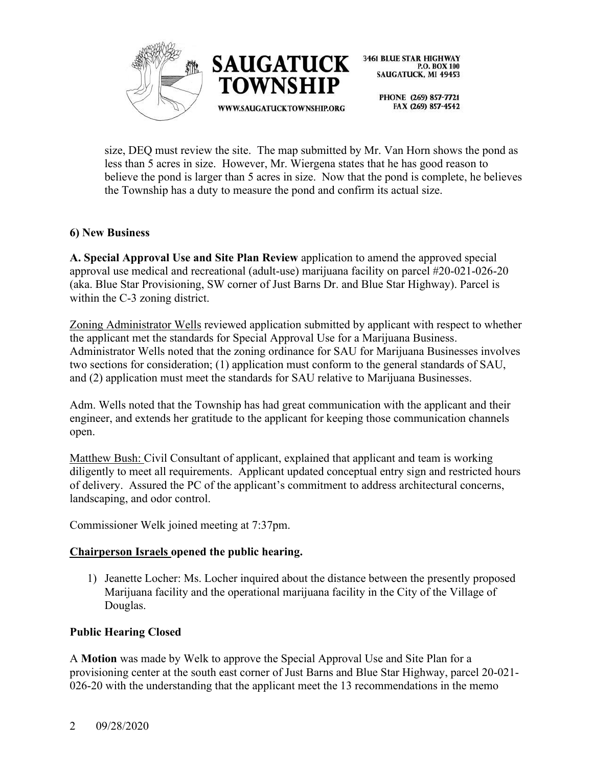

P.O. BOX 100 SAUGATUCK, MI 49453

PHONE (269) 857-7721 FAX (269) 857-4542

size, DEQ must review the site. The map submitted by Mr. Van Horn shows the pond as less than 5 acres in size. However, Mr. Wiergena states that he has good reason to believe the pond is larger than 5 acres in size. Now that the pond is complete, he believes the Township has a duty to measure the pond and confirm its actual size.

#### **6) New Business**

**A. Special Approval Use and Site Plan Review** application to amend the approved special approval use medical and recreational (adult-use) marijuana facility on parcel #20-021-026-20 (aka. Blue Star Provisioning, SW corner of Just Barns Dr. and Blue Star Highway). Parcel is within the C-3 zoning district.

Zoning Administrator Wells reviewed application submitted by applicant with respect to whether the applicant met the standards for Special Approval Use for a Marijuana Business. Administrator Wells noted that the zoning ordinance for SAU for Marijuana Businesses involves two sections for consideration; (1) application must conform to the general standards of SAU, and (2) application must meet the standards for SAU relative to Marijuana Businesses.

Adm. Wells noted that the Township has had great communication with the applicant and their engineer, and extends her gratitude to the applicant for keeping those communication channels open.

Matthew Bush: Civil Consultant of applicant, explained that applicant and team is working diligently to meet all requirements. Applicant updated conceptual entry sign and restricted hours of delivery. Assured the PC of the applicant's commitment to address architectural concerns, landscaping, and odor control.

Commissioner Welk joined meeting at 7:37pm.

## **Chairperson Israels opened the public hearing.**

1) Jeanette Locher: Ms. Locher inquired about the distance between the presently proposed Marijuana facility and the operational marijuana facility in the City of the Village of Douglas.

#### **Public Hearing Closed**

A **Motion** was made by Welk to approve the Special Approval Use and Site Plan for a provisioning center at the south east corner of Just Barns and Blue Star Highway, parcel 20-021- 026-20 with the understanding that the applicant meet the 13 recommendations in the memo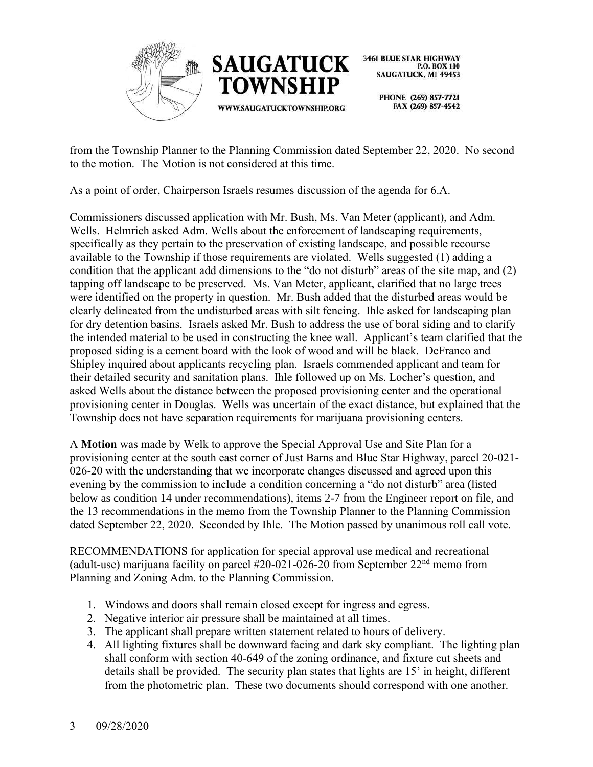



> PHONE (269) 857-7721 FAX (269) 857-4542

from the Township Planner to the Planning Commission dated September 22, 2020. No second to the motion. The Motion is not considered at this time.

As a point of order, Chairperson Israels resumes discussion of the agenda for 6.A.

Commissioners discussed application with Mr. Bush, Ms. Van Meter (applicant), and Adm. Wells. Helmrich asked Adm. Wells about the enforcement of landscaping requirements, specifically as they pertain to the preservation of existing landscape, and possible recourse available to the Township if those requirements are violated. Wells suggested (1) adding a condition that the applicant add dimensions to the "do not disturb" areas of the site map, and (2) tapping off landscape to be preserved. Ms. Van Meter, applicant, clarified that no large trees were identified on the property in question. Mr. Bush added that the disturbed areas would be clearly delineated from the undisturbed areas with silt fencing. Ihle asked for landscaping plan for dry detention basins. Israels asked Mr. Bush to address the use of boral siding and to clarify the intended material to be used in constructing the knee wall. Applicant's team clarified that the proposed siding is a cement board with the look of wood and will be black. DeFranco and Shipley inquired about applicants recycling plan. Israels commended applicant and team for their detailed security and sanitation plans. Ihle followed up on Ms. Locher's question, and asked Wells about the distance between the proposed provisioning center and the operational provisioning center in Douglas. Wells was uncertain of the exact distance, but explained that the Township does not have separation requirements for marijuana provisioning centers.

A **Motion** was made by Welk to approve the Special Approval Use and Site Plan for a provisioning center at the south east corner of Just Barns and Blue Star Highway, parcel 20-021- 026-20 with the understanding that we incorporate changes discussed and agreed upon this evening by the commission to include a condition concerning a "do not disturb" area (listed below as condition 14 under recommendations), items 2-7 from the Engineer report on file, and the 13 recommendations in the memo from the Township Planner to the Planning Commission dated September 22, 2020. Seconded by Ihle. The Motion passed by unanimous roll call vote.

RECOMMENDATIONS for application for special approval use medical and recreational (adult-use) marijuana facility on parcel  $#20-021-026-20$  from September  $22<sup>nd</sup>$  memo from Planning and Zoning Adm. to the Planning Commission.

- 1. Windows and doors shall remain closed except for ingress and egress.
- 2. Negative interior air pressure shall be maintained at all times.
- 3. The applicant shall prepare written statement related to hours of delivery.
- 4. All lighting fixtures shall be downward facing and dark sky compliant. The lighting plan shall conform with section 40-649 of the zoning ordinance, and fixture cut sheets and details shall be provided. The security plan states that lights are 15' in height, different from the photometric plan. These two documents should correspond with one another.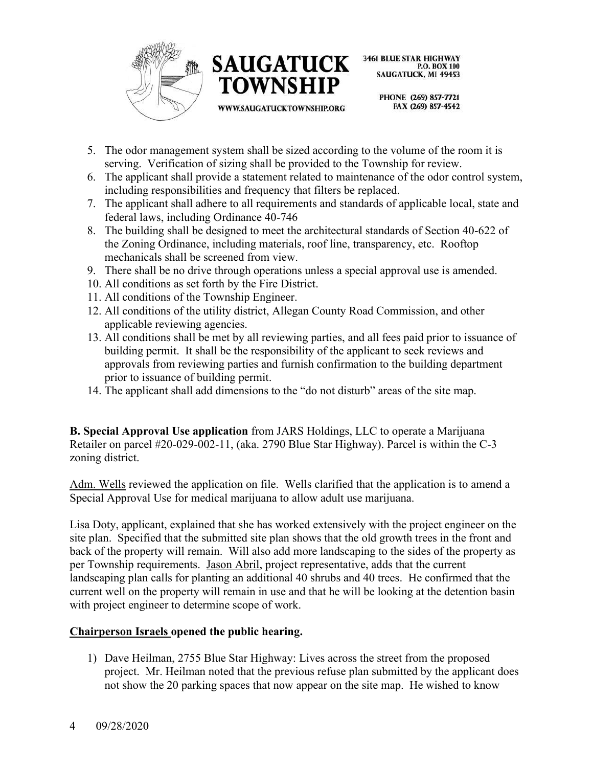



WWW.SAUGATUCKTOWNSHIP.ORG

**3461 BLUE STAR HIGHWAY** P.O. BOX 100 SAUGATUCK, MI 49453

> PHONE (269) 857-7721 FAX (269) 857-4542

- 5. The odor management system shall be sized according to the volume of the room it is serving. Verification of sizing shall be provided to the Township for review.
- 6. The applicant shall provide a statement related to maintenance of the odor control system, including responsibilities and frequency that filters be replaced.
- 7. The applicant shall adhere to all requirements and standards of applicable local, state and federal laws, including Ordinance 40-746
- 8. The building shall be designed to meet the architectural standards of Section 40-622 of the Zoning Ordinance, including materials, roof line, transparency, etc. Rooftop mechanicals shall be screened from view.
- 9. There shall be no drive through operations unless a special approval use is amended.
- 10. All conditions as set forth by the Fire District.
- 11. All conditions of the Township Engineer.
- 12. All conditions of the utility district, Allegan County Road Commission, and other applicable reviewing agencies.
- 13. All conditions shall be met by all reviewing parties, and all fees paid prior to issuance of building permit. It shall be the responsibility of the applicant to seek reviews and approvals from reviewing parties and furnish confirmation to the building department prior to issuance of building permit.
- 14. The applicant shall add dimensions to the "do not disturb" areas of the site map.

**B. Special Approval Use application** from JARS Holdings, LLC to operate a Marijuana Retailer on parcel #20-029-002-11, (aka. 2790 Blue Star Highway). Parcel is within the C-3 zoning district.

Adm. Wells reviewed the application on file. Wells clarified that the application is to amend a Special Approval Use for medical marijuana to allow adult use marijuana.

Lisa Doty, applicant, explained that she has worked extensively with the project engineer on the site plan. Specified that the submitted site plan shows that the old growth trees in the front and back of the property will remain. Will also add more landscaping to the sides of the property as per Township requirements. Jason Abril, project representative, adds that the current landscaping plan calls for planting an additional 40 shrubs and 40 trees. He confirmed that the current well on the property will remain in use and that he will be looking at the detention basin with project engineer to determine scope of work.

#### **Chairperson Israels opened the public hearing.**

1) Dave Heilman, 2755 Blue Star Highway: Lives across the street from the proposed project. Mr. Heilman noted that the previous refuse plan submitted by the applicant does not show the 20 parking spaces that now appear on the site map. He wished to know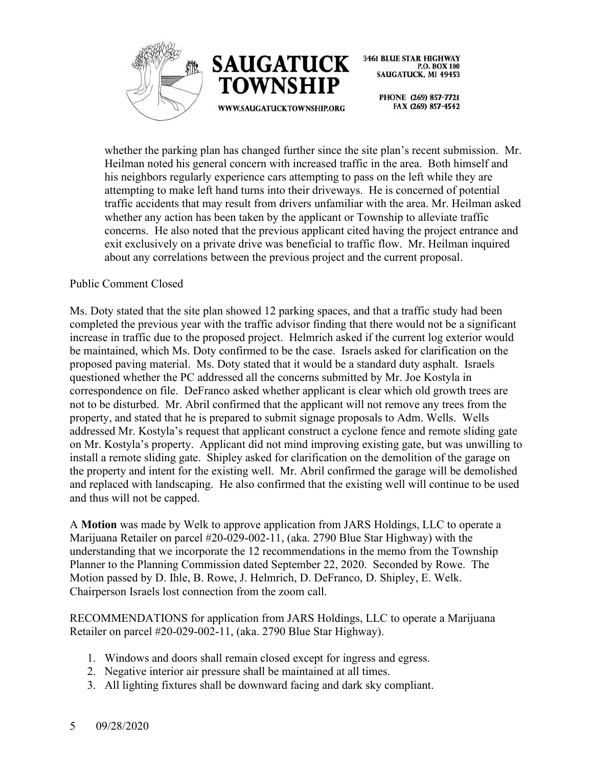



> PHONE (269) 857-7721 FAX (269) 857-4542

whether the parking plan has changed further since the site plan's recent submission. Mr. Heilman noted his general concern with increased traffic in the area. Both himself and his neighbors regularly experience cars attempting to pass on the left while they are attempting to make left hand turns into their driveways. He is concerned of potential traffic accidents that may result from drivers unfamiliar with the area. Mr. Heilman asked whether any action has been taken by the applicant or Township to alleviate traffic concerns. He also noted that the previous applicant cited having the project entrance and exit exclusively on a private drive was beneficial to traffic flow. Mr. Heilman inquired about any correlations between the previous project and the current proposal.

#### Public Comment Closed

Ms. Doty stated that the site plan showed 12 parking spaces, and that a traffic study had been completed the previous year with the traffic advisor finding that there would not be a significant increase in traffic due to the proposed project. Helmrich asked if the current log exterior would be maintained, which Ms. Doty confirmed to be the case. Israels asked for clarification on the proposed paving material. Ms. Doty stated that it would be a standard duty asphalt. Israels questioned whether the PC addressed all the concerns submitted by Mr. Joe Kostyla in correspondence on file. DeFranco asked whether applicant is clear which old growth trees are not to be disturbed. Mr. Abril confirmed that the applicant will not remove any trees from the property, and stated that he is prepared to submit signage proposals to Adm. Wells. Wells addressed Mr. Kostyla's request that applicant construct a cyclone fence and remote sliding gate on Mr. Kostyla's property. Applicant did not mind improving existing gate, but was unwilling to install a remote sliding gate. Shipley asked for clarification on the demolition of the garage on the property and intent for the existing well. Mr. Abril confirmed the garage will be demolished and replaced with landscaping. He also confirmed that the existing well will continue to be used and thus will not be capped.

A **Motion** was made by Welk to approve application from JARS Holdings, LLC to operate a Marijuana Retailer on parcel #20-029-002-11, (aka. 2790 Blue Star Highway) with the understanding that we incorporate the 12 recommendations in the memo from the Township Planner to the Planning Commission dated September 22, 2020. Seconded by Rowe. The Motion passed by D. Ihle, B. Rowe, J. Helmrich, D. DeFranco, D. Shipley, E. Welk. Chairperson Israels lost connection from the zoom call.

RECOMMENDATIONS for application from JARS Holdings, LLC to operate a Marijuana Retailer on parcel #20-029-002-11, (aka. 2790 Blue Star Highway).

- 1. Windows and doors shall remain closed except for ingress and egress.
- 2. Negative interior air pressure shall be maintained at all times.
- 3. All lighting fixtures shall be downward facing and dark sky compliant.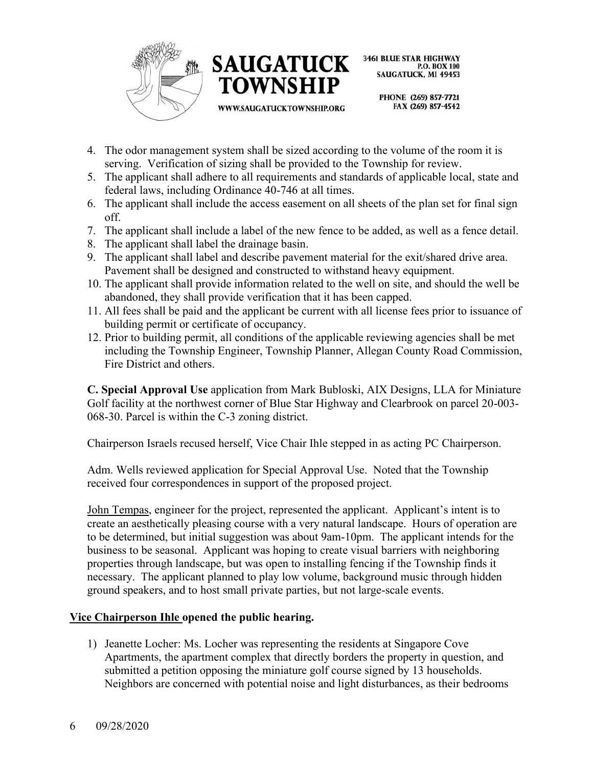



WWW.SAUGATUCKTOWNSHIP.ORG

**3461 BLUE STAR HIGHWAY** P.O. BOX 100 SAUGATUCK, MI 49453

> PHONE (269) 857-7721 FAX (269) 857-4542

- 4. The odor management system shall be sized according to the volume of the room it is serving. Verification of sizing shall be provided to the Township for review.
- 5. The applicant shall adhere to all requirements and standards of applicable local, state and federal laws, including Ordinance 40-746 at all times.
- 6. The applicant shall include the access easement on all sheets of the plan set for final sign off.
- 7. The applicant shall include a label of the new fence to be added, as well as a fence detail.
- 8. The applicant shall label the drainage basin.
- 9. The applicant shall label and describe pavement material for the exit/shared drive area. Pavement shall be designed and constructed to withstand heavy equipment.
- 10. The applicant shall provide information related to the well on site, and should the well be abandoned, they shall provide verification that it has been capped.
- 11. All fees shall be paid and the applicant be current with all license fees prior to issuance of building permit or certificate of occupancy.
- 12. Prior to building permit, all conditions of the applicable reviewing agencies shall be met including the Township Engineer, Township Planner, Allegan County Road Commission, Fire District and others.

**C. Special Approval Use** application from Mark Bubloski, AIX Designs, LLA for Miniature Golf facility at the northwest corner of Blue Star Highway and Clearbrook on parcel 20-003- 068-30. Parcel is within the C-3 zoning district.

Chairperson Israels recused herself, Vice Chair Ihle stepped in as acting PC Chairperson.

Adm. Wells reviewed application for Special Approval Use. Noted that the Township received four correspondences in support of the proposed project.

John Tempas, engineer for the project, represented the applicant. Applicant's intent is to create an aesthetically pleasing course with a very natural landscape. Hours of operation are to be determined, but initial suggestion was about 9am-10pm. The applicant intends for the business to be seasonal. Applicant was hoping to create visual barriers with neighboring properties through landscape, but was open to installing fencing if the Township finds it necessary. The applicant planned to play low volume, background music through hidden ground speakers, and to host small private parties, but not large-scale events.

## **Vice Chairperson Ihle opened the public hearing.**

1) Jeanette Locher: Ms. Locher was representing the residents at Singapore Cove Apartments, the apartment complex that directly borders the property in question, and submitted a petition opposing the miniature golf course signed by 13 households. Neighbors are concerned with potential noise and light disturbances, as their bedrooms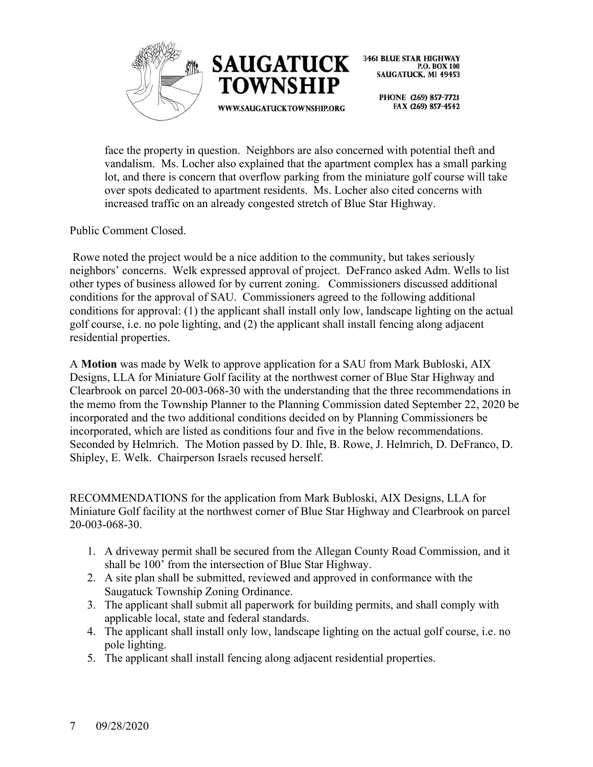



> PHONE (269) 857-7721 FAX (269) 857-4542

face the property in question. Neighbors are also concerned with potential theft and vandalism. Ms. Locher also explained that the apartment complex has a small parking lot, and there is concern that overflow parking from the miniature golf course will take over spots dedicated to apartment residents. Ms. Locher also cited concerns with increased traffic on an already congested stretch of Blue Star Highway.

Public Comment Closed.

Rowe noted the project would be a nice addition to the community, but takes seriously neighbors' concerns. Welk expressed approval of project. DeFranco asked Adm. Wells to list other types of business allowed for by current zoning. Commissioners discussed additional conditions for the approval of SAU. Commissioners agreed to the following additional conditions for approval: (1) the applicant shall install only low, landscape lighting on the actual golf course, i.e. no pole lighting, and (2) the applicant shall install fencing along adjacent residential properties.

A **Motion** was made by Welk to approve application for a SAU from Mark Bubloski, AIX Designs, LLA for Miniature Golf facility at the northwest corner of Blue Star Highway and Clearbrook on parcel 20-003-068-30 with the understanding that the three recommendations in the memo from the Township Planner to the Planning Commission dated September 22, 2020 be incorporated and the two additional conditions decided on by Planning Commissioners be incorporated, which are listed as conditions four and five in the below recommendations. Seconded by Helmrich. The Motion passed by D. Ihle, B. Rowe, J. Helmrich, D. DeFranco, D. Shipley, E. Welk. Chairperson Israels recused herself.

RECOMMENDATIONS for the application from Mark Bubloski, AIX Designs, LLA for Miniature Golf facility at the northwest corner of Blue Star Highway and Clearbrook on parcel 20-003-068-30.

- 1. A driveway permit shall be secured from the Allegan County Road Commission, and it shall be 100' from the intersection of Blue Star Highway.
- 2. A site plan shall be submitted, reviewed and approved in conformance with the Saugatuck Township Zoning Ordinance.
- 3. The applicant shall submit all paperwork for building permits, and shall comply with applicable local, state and federal standards.
- 4. The applicant shall install only low, landscape lighting on the actual golf course, i.e. no pole lighting.
- 5. The applicant shall install fencing along adjacent residential properties.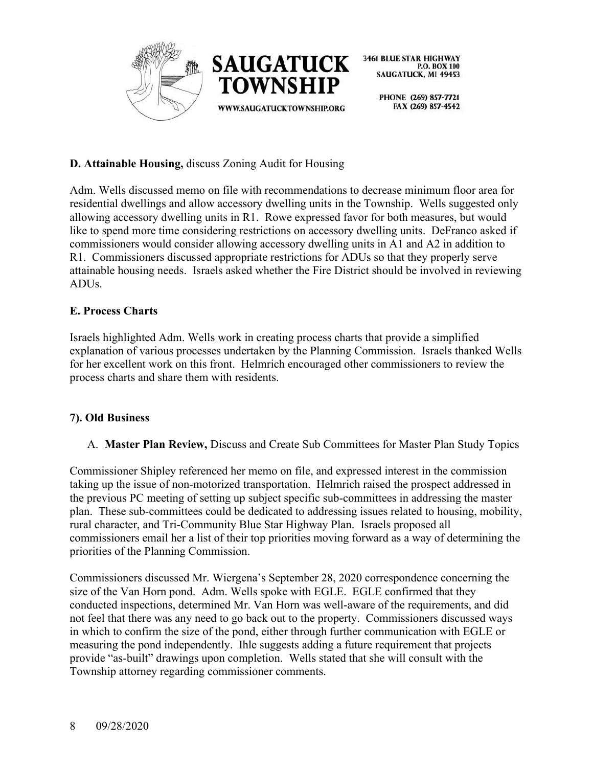

> PHONE (269) 857-7721 FAX (269) 857-4542

## **D. Attainable Housing,** discuss Zoning Audit for Housing

Adm. Wells discussed memo on file with recommendations to decrease minimum floor area for residential dwellings and allow accessory dwelling units in the Township. Wells suggested only allowing accessory dwelling units in R1. Rowe expressed favor for both measures, but would like to spend more time considering restrictions on accessory dwelling units. DeFranco asked if commissioners would consider allowing accessory dwelling units in A1 and A2 in addition to R1. Commissioners discussed appropriate restrictions for ADUs so that they properly serve attainable housing needs. Israels asked whether the Fire District should be involved in reviewing ADUs.

## **E. Process Charts**

Israels highlighted Adm. Wells work in creating process charts that provide a simplified explanation of various processes undertaken by the Planning Commission. Israels thanked Wells for her excellent work on this front. Helmrich encouraged other commissioners to review the process charts and share them with residents.

# **7). Old Business**

A. **Master Plan Review,** Discuss and Create Sub Committees for Master Plan Study Topics

Commissioner Shipley referenced her memo on file, and expressed interest in the commission taking up the issue of non-motorized transportation. Helmrich raised the prospect addressed in the previous PC meeting of setting up subject specific sub-committees in addressing the master plan. These sub-committees could be dedicated to addressing issues related to housing, mobility, rural character, and Tri-Community Blue Star Highway Plan. Israels proposed all commissioners email her a list of their top priorities moving forward as a way of determining the priorities of the Planning Commission.

Commissioners discussed Mr. Wiergena's September 28, 2020 correspondence concerning the size of the Van Horn pond. Adm. Wells spoke with EGLE. EGLE confirmed that they conducted inspections, determined Mr. Van Horn was well-aware of the requirements, and did not feel that there was any need to go back out to the property. Commissioners discussed ways in which to confirm the size of the pond, either through further communication with EGLE or measuring the pond independently. Ihle suggests adding a future requirement that projects provide "as-built" drawings upon completion. Wells stated that she will consult with the Township attorney regarding commissioner comments.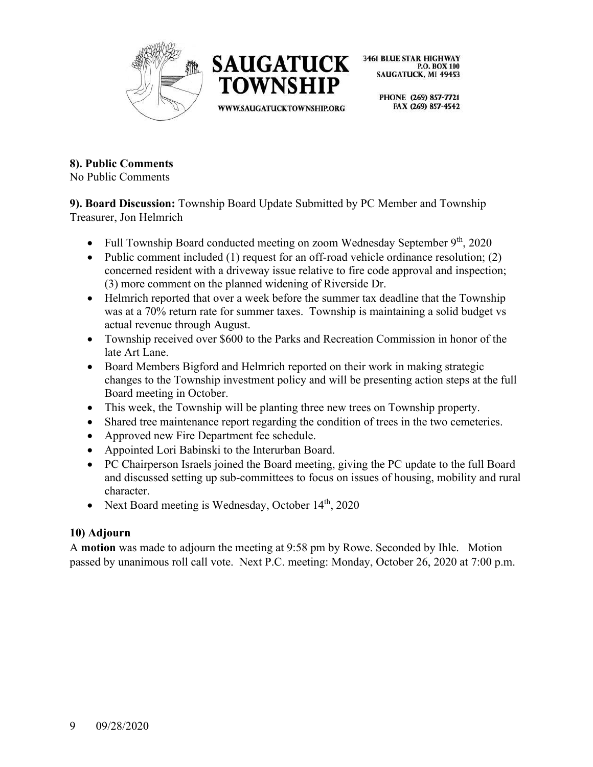



> PHONE (269) 857-7721 FAX (269) 857-4542

## **8). Public Comments**

No Public Comments

**9). Board Discussion:** Township Board Update Submitted by PC Member and Township Treasurer, Jon Helmrich

- Full Township Board conducted meeting on zoom Wednesday September 9<sup>th</sup>, 2020
- Public comment included (1) request for an off-road vehicle ordinance resolution; (2) concerned resident with a driveway issue relative to fire code approval and inspection; (3) more comment on the planned widening of Riverside Dr.
- Helmrich reported that over a week before the summer tax deadline that the Township was at a 70% return rate for summer taxes. Township is maintaining a solid budget vs actual revenue through August.
- Township received over \$600 to the Parks and Recreation Commission in honor of the late Art Lane.
- Board Members Bigford and Helmrich reported on their work in making strategic changes to the Township investment policy and will be presenting action steps at the full Board meeting in October.
- This week, the Township will be planting three new trees on Township property.
- Shared tree maintenance report regarding the condition of trees in the two cemeteries.
- Approved new Fire Department fee schedule.
- Appointed Lori Babinski to the Interurban Board.
- PC Chairperson Israels joined the Board meeting, giving the PC update to the full Board and discussed setting up sub-committees to focus on issues of housing, mobility and rural character.
- Next Board meeting is Wednesday, October 14<sup>th</sup>, 2020

# **10) Adjourn**

A **motion** was made to adjourn the meeting at 9:58 pm by Rowe. Seconded by Ihle. Motion passed by unanimous roll call vote. Next P.C. meeting: Monday, October 26, 2020 at 7:00 p.m.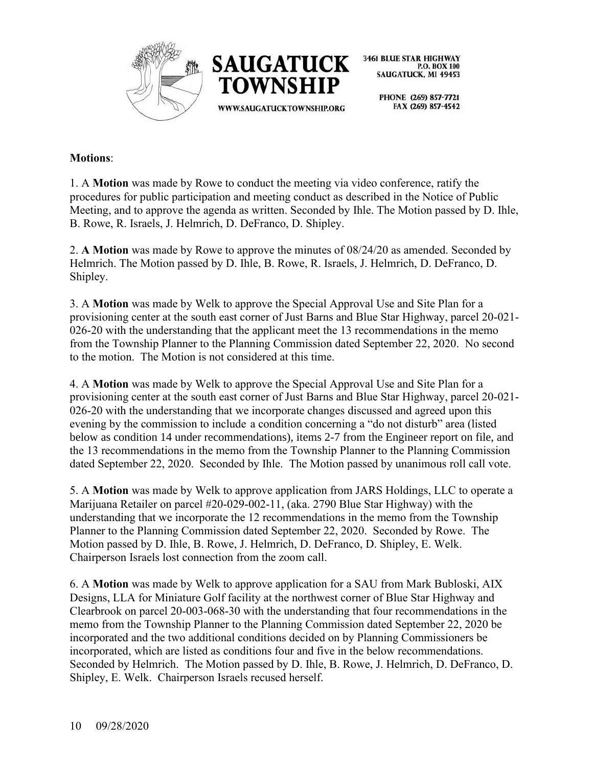



> PHONE (269) 857-7721 FAX (269) 857-4542

#### **Motions**:

1. A **Motion** was made by Rowe to conduct the meeting via video conference, ratify the procedures for public participation and meeting conduct as described in the Notice of Public Meeting, and to approve the agenda as written. Seconded by Ihle. The Motion passed by D. Ihle, B. Rowe, R. Israels, J. Helmrich, D. DeFranco, D. Shipley.

2. **A Motion** was made by Rowe to approve the minutes of 08/24/20 as amended. Seconded by Helmrich. The Motion passed by D. Ihle, B. Rowe, R. Israels, J. Helmrich, D. DeFranco, D. Shipley.

3. A **Motion** was made by Welk to approve the Special Approval Use and Site Plan for a provisioning center at the south east corner of Just Barns and Blue Star Highway, parcel 20-021- 026-20 with the understanding that the applicant meet the 13 recommendations in the memo from the Township Planner to the Planning Commission dated September 22, 2020. No second to the motion. The Motion is not considered at this time.

4. A **Motion** was made by Welk to approve the Special Approval Use and Site Plan for a provisioning center at the south east corner of Just Barns and Blue Star Highway, parcel 20-021- 026-20 with the understanding that we incorporate changes discussed and agreed upon this evening by the commission to include a condition concerning a "do not disturb" area (listed below as condition 14 under recommendations), items 2-7 from the Engineer report on file, and the 13 recommendations in the memo from the Township Planner to the Planning Commission dated September 22, 2020. Seconded by Ihle. The Motion passed by unanimous roll call vote.

5. A **Motion** was made by Welk to approve application from JARS Holdings, LLC to operate a Marijuana Retailer on parcel #20-029-002-11, (aka. 2790 Blue Star Highway) with the understanding that we incorporate the 12 recommendations in the memo from the Township Planner to the Planning Commission dated September 22, 2020. Seconded by Rowe. The Motion passed by D. Ihle, B. Rowe, J. Helmrich, D. DeFranco, D. Shipley, E. Welk. Chairperson Israels lost connection from the zoom call.

6. A **Motion** was made by Welk to approve application for a SAU from Mark Bubloski, AIX Designs, LLA for Miniature Golf facility at the northwest corner of Blue Star Highway and Clearbrook on parcel 20-003-068-30 with the understanding that four recommendations in the memo from the Township Planner to the Planning Commission dated September 22, 2020 be incorporated and the two additional conditions decided on by Planning Commissioners be incorporated, which are listed as conditions four and five in the below recommendations. Seconded by Helmrich. The Motion passed by D. Ihle, B. Rowe, J. Helmrich, D. DeFranco, D. Shipley, E. Welk. Chairperson Israels recused herself.